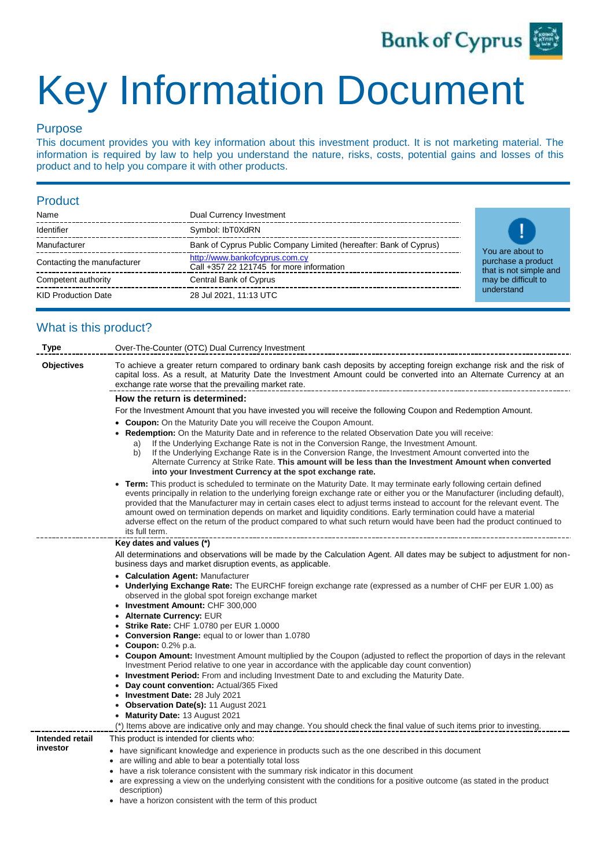

# Key Information Document

# Purpose

This document provides you with key information about this investment product. It is not marketing material. The information is required by law to help you understand the nature, risks, costs, potential gains and losses of this product and to help you compare it with other products.

### Product

| Name                        | Dual Currency Investment                                                   |  |
|-----------------------------|----------------------------------------------------------------------------|--|
| Identifier                  | Symbol: IbT0XdRN                                                           |  |
| Manufacturer                | Bank of Cyprus Public Company Limited (hereafter: Bank of Cyprus)          |  |
| Contacting the manufacturer | http://www.bankofcyprus.com.cy<br>Call +357 22 121745 for more information |  |
| Competent authority         | Central Bank of Cyprus                                                     |  |
| <b>KID Production Date</b>  | 28 Jul 2021, 11:13 UTC                                                     |  |



# What is this product?

| <b>Type</b>                 | Over-The-Counter (OTC) Dual Currency Investment                                                                                                                                                                                                                                                                                                                                                                                                                                                                                                                                                                                               |  |  |
|-----------------------------|-----------------------------------------------------------------------------------------------------------------------------------------------------------------------------------------------------------------------------------------------------------------------------------------------------------------------------------------------------------------------------------------------------------------------------------------------------------------------------------------------------------------------------------------------------------------------------------------------------------------------------------------------|--|--|
| <b>Objectives</b>           | To achieve a greater return compared to ordinary bank cash deposits by accepting foreign exchange risk and the risk of<br>capital loss. As a result, at Maturity Date the Investment Amount could be converted into an Alternate Currency at an<br>exchange rate worse that the prevailing market rate.                                                                                                                                                                                                                                                                                                                                       |  |  |
|                             | How the return is determined:                                                                                                                                                                                                                                                                                                                                                                                                                                                                                                                                                                                                                 |  |  |
|                             | For the Investment Amount that you have invested you will receive the following Coupon and Redemption Amount.                                                                                                                                                                                                                                                                                                                                                                                                                                                                                                                                 |  |  |
|                             | <b>Coupon:</b> On the Maturity Date you will receive the Coupon Amount.                                                                                                                                                                                                                                                                                                                                                                                                                                                                                                                                                                       |  |  |
|                             | Redemption: On the Maturity Date and in reference to the related Observation Date you will receive:                                                                                                                                                                                                                                                                                                                                                                                                                                                                                                                                           |  |  |
|                             | If the Underlying Exchange Rate is not in the Conversion Range, the Investment Amount.<br>a)<br>If the Underlying Exchange Rate is in the Conversion Range, the Investment Amount converted into the<br>b)<br>Alternate Currency at Strike Rate. This amount will be less than the Investment Amount when converted<br>into your Investment Currency at the spot exchange rate.                                                                                                                                                                                                                                                               |  |  |
|                             | Term: This product is scheduled to terminate on the Maturity Date. It may terminate early following certain defined<br>events principally in relation to the underlying foreign exchange rate or either you or the Manufacturer (including default),<br>provided that the Manufacturer may in certain cases elect to adjust terms instead to account for the relevant event. The<br>amount owed on termination depends on market and liquidity conditions. Early termination could have a material<br>adverse effect on the return of the product compared to what such return would have been had the product continued to<br>its full term. |  |  |
|                             | Key dates and values (*)                                                                                                                                                                                                                                                                                                                                                                                                                                                                                                                                                                                                                      |  |  |
|                             | All determinations and observations will be made by the Calculation Agent. All dates may be subject to adjustment for non-                                                                                                                                                                                                                                                                                                                                                                                                                                                                                                                    |  |  |
|                             | business days and market disruption events, as applicable.                                                                                                                                                                                                                                                                                                                                                                                                                                                                                                                                                                                    |  |  |
|                             | • Calculation Agent: Manufacturer<br><b>Underlying Exchange Rate:</b> The EURCHF foreign exchange rate (expressed as a number of CHF per EUR 1.00) as<br>observed in the global spot foreign exchange market                                                                                                                                                                                                                                                                                                                                                                                                                                  |  |  |
|                             | • Investment Amount: CHF 300,000                                                                                                                                                                                                                                                                                                                                                                                                                                                                                                                                                                                                              |  |  |
|                             | <b>Alternate Currency: EUR</b><br><b>Strike Rate: CHF 1.0780 per EUR 1.0000</b>                                                                                                                                                                                                                                                                                                                                                                                                                                                                                                                                                               |  |  |
|                             | <b>Conversion Range:</b> equal to or lower than 1.0780<br>٠                                                                                                                                                                                                                                                                                                                                                                                                                                                                                                                                                                                   |  |  |
|                             | <b>Coupon:</b> 0.2% p.a.<br>٠                                                                                                                                                                                                                                                                                                                                                                                                                                                                                                                                                                                                                 |  |  |
|                             | • Coupon Amount: Investment Amount multiplied by the Coupon (adjusted to reflect the proportion of days in the relevant<br>Investment Period relative to one year in accordance with the applicable day count convention)                                                                                                                                                                                                                                                                                                                                                                                                                     |  |  |
|                             | <b>Investment Period:</b> From and including Investment Date to and excluding the Maturity Date.<br>Day count convention: Actual/365 Fixed                                                                                                                                                                                                                                                                                                                                                                                                                                                                                                    |  |  |
|                             | • Investment Date: 28 July 2021                                                                                                                                                                                                                                                                                                                                                                                                                                                                                                                                                                                                               |  |  |
|                             | Observation Date(s): 11 August 2021                                                                                                                                                                                                                                                                                                                                                                                                                                                                                                                                                                                                           |  |  |
|                             | Maturity Date: 13 August 2021<br>٠                                                                                                                                                                                                                                                                                                                                                                                                                                                                                                                                                                                                            |  |  |
|                             | (*) Items above are indicative only and may change. You should check the final value of such items prior to investing.                                                                                                                                                                                                                                                                                                                                                                                                                                                                                                                        |  |  |
| Intended retail<br>investor | This product is intended for clients who:                                                                                                                                                                                                                                                                                                                                                                                                                                                                                                                                                                                                     |  |  |
|                             | • have significant knowledge and experience in products such as the one described in this document<br>• are willing and able to bear a potentially total loss                                                                                                                                                                                                                                                                                                                                                                                                                                                                                 |  |  |
|                             | have a risk tolerance consistent with the summary risk indicator in this document                                                                                                                                                                                                                                                                                                                                                                                                                                                                                                                                                             |  |  |
|                             | • are expressing a view on the underlying consistent with the conditions for a positive outcome (as stated in the product<br>description)                                                                                                                                                                                                                                                                                                                                                                                                                                                                                                     |  |  |

• have a horizon consistent with the term of this product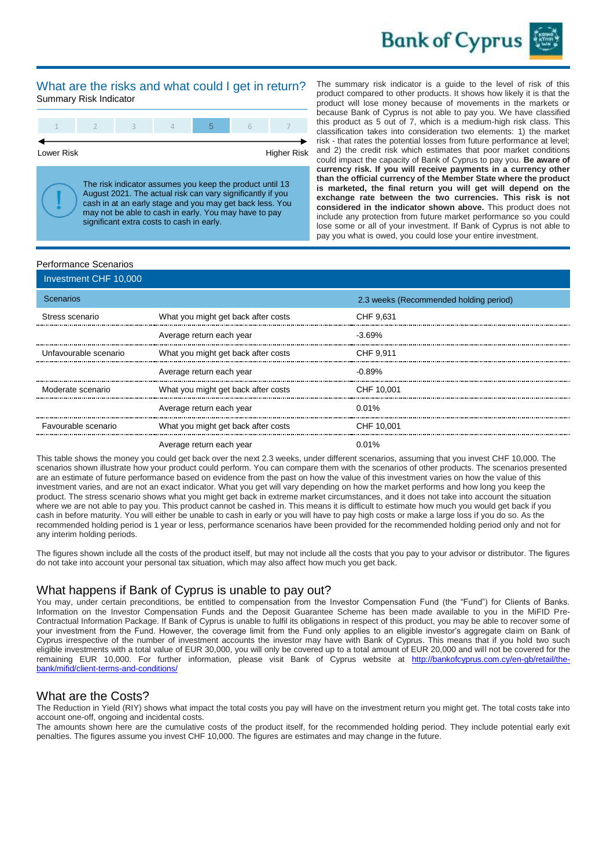

#### What are the risks and what could I get in return? Summary Risk Indicator



Lower Risk **Higher Risk** 

The risk indicator assumes you keep the product until 13 August 2021. The actual risk can vary significantly if you cash in at an early stage and you may get back less. You may not be able to cash in early. You may have to pay significant extra costs to cash in early.

The summary risk indicator is a guide to the level of risk of this product compared to other products. It shows how likely it is that the product will lose money because of movements in the markets or because Bank of Cyprus is not able to pay you. We have classified this product as 5 out of 7, which is a medium-high risk class. This classification takes into consideration two elements: 1) the market risk - that rates the potential losses from future performance at level; and 2) the credit risk which estimates that poor market conditions could impact the capacity of Bank of Cyprus to pay you. **Be aware of currency risk. If you will receive payments in a currency other than the official currency of the Member State where the product is marketed, the final return you will get will depend on the exchange rate between the two currencies. This risk is not considered in the indicator shown above.** This product does not include any protection from future market performance so you could lose some or all of your investment. If Bank of Cyprus is not able to pay you what is owed, you could lose your entire investment.

#### Performance Scenarios

| Investment CHF 10,000 |                                     |                                        |
|-----------------------|-------------------------------------|----------------------------------------|
| Scenarios             |                                     | 2.3 weeks (Recommended holding period) |
| Stress scenario       | What you might get back after costs | CHF 9.631                              |
|                       | Average return each year            | $-3.69%$                               |
| Unfavourable scenario | What you might get back after costs | CHF 9.911                              |
|                       | Average return each year            | $-0.89%$                               |
| Moderate scenario     | What you might get back after costs | CHF 10.001                             |
|                       | Average return each year            | $0.01\%$                               |
| Favourable scenario   | What you might get back after costs | CHF 10.001                             |
|                       | Average return each year            | 0.01%                                  |

This table shows the money you could get back over the next 2.3 weeks, under different scenarios, assuming that you invest CHF 10,000. The scenarios shown illustrate how your product could perform. You can compare them with the scenarios of other products. The scenarios presented are an estimate of future performance based on evidence from the past on how the value of this investment varies on how the value of this investment varies, and are not an exact indicator. What you get will vary depending on how the market performs and how long you keep the product. The stress scenario shows what you might get back in extreme market circumstances, and it does not take into account the situation where we are not able to pay you. This product cannot be cashed in. This means it is difficult to estimate how much you would get back if you cash in before maturity. You will either be unable to cash in early or you will have to pay high costs or make a large loss if you do so. As the recommended holding period is 1 year or less, performance scenarios have been provided for the recommended holding period only and not for any interim holding periods.

The figures shown include all the costs of the product itself, but may not include all the costs that you pay to your advisor or distributor. The figures do not take into account your personal tax situation, which may also affect how much you get back.

# What happens if Bank of Cyprus is unable to pay out?

You may, under certain preconditions, be entitled to compensation from the Investor Compensation Fund (the "Fund") for Clients of Banks. Information on the Investor Compensation Funds and the Deposit Guarantee Scheme has been made available to you in the MiFID Pre-Contractual Information Package. If Bank of Cyprus is unable to fulfil its obligations in respect of this product, you may be able to recover some of your investment from the Fund. However, the coverage limit from the Fund only applies to an eligible investor's aggregate claim on Bank of Cyprus irrespective of the number of investment accounts the investor may have with Bank of Cyprus. This means that if you hold two such eligible investments with a total value of EUR 30,000, you will only be covered up to a total amount of EUR 20,000 and will not be covered for the remaining EUR 10,000. For further information, please visit Bank of Cyprus website at [http://bankofcyprus.com.cy/en-gb/retail/the](http://bankofcyprus.com.cy/en-gb/retail/the-bank/mifid/client-terms-and-conditions)[bank/mifid/client-terms-and-conditions/](http://bankofcyprus.com.cy/en-gb/retail/the-bank/mifid/client-terms-and-conditions)

#### What are the Costs?

The Reduction in Yield (RIY) shows what impact the total costs you pay will have on the investment return you might get. The total costs take into account one-off, ongoing and incidental costs.

The amounts shown here are the cumulative costs of the product itself, for the recommended holding period. They include potential early exit penalties. The figures assume you invest CHF 10,000. The figures are estimates and may change in the future.